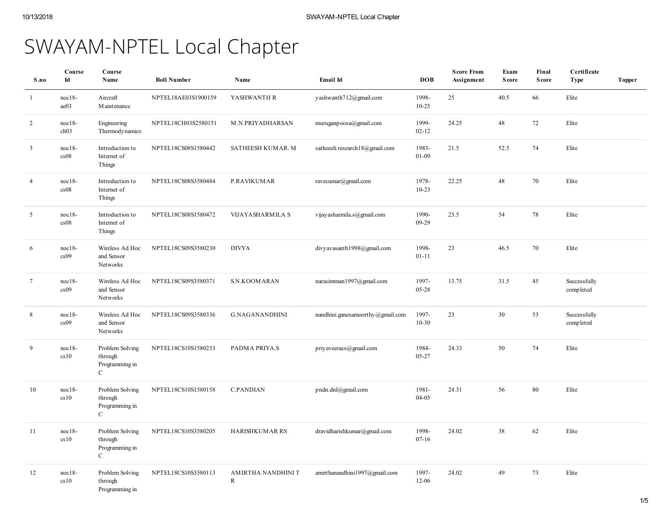# SWAYAM-NPTEL Local Chapter

| S.no                    | Course<br>Id                 | Course<br>Name                                              | <b>Roll Number</b>  | Name                    | Email Id                         | <b>DOB</b>         | <b>Score From</b><br>Assignment | Exam<br><b>Score</b> | Final<br><b>Score</b> | Certificate<br><b>Type</b> | <b>Topper</b> |
|-------------------------|------------------------------|-------------------------------------------------------------|---------------------|-------------------------|----------------------------------|--------------------|---------------------------------|----------------------|-----------------------|----------------------------|---------------|
| -1                      | noc18-<br>ae03               | Aircraft<br><b>Maintenance</b>                              | NPTEL18AE03S1900159 | YASHWANTH R             | yashwanth712@gmail.com           | 1998-<br>$10 - 25$ | 25                              | 40.5                 | 66                    | Elite                      |               |
| 2                       | $noc18-$<br>ch <sub>03</sub> | Engineering<br>Thermodynamics                               | NPTEL18CH03S2580151 | M.N.PRIYADHARSAN        | muruganpoosa@gmail.com           | 1999-<br>$02 - 12$ | 24.25                           | 48                   | 72                    | Elite                      |               |
| $\overline{\mathbf{3}}$ | $noc18-$<br>cs08             | Introduction to<br>Internet of<br>Things                    | NPTEL18CS08S1580442 | SATHEESH KUMAR. M       | satheesh.research18@gmail.com    | 1983-<br>$01 - 09$ | 21.5                            | 52.5                 | 74                    | Elite                      |               |
| $\overline{4}$          | $noc18-$<br>cs08             | Introduction to<br>Internet of<br>Things                    | NPTEL18CS08S3580484 | <b>P.RAVIKUMAR</b>      | ravecumar@gmail.com              | 1978-<br>$10 - 23$ | 22.25                           | 48                   | 70                    | Elite                      |               |
| 5                       | $noc18-$<br>cs08             | Introduction to<br>Internet of<br>Things                    | NPTEL18CS08S1580472 | VIJAYASHARMILA S        | vijay asharmila.s@gmail.com      | 1990-<br>09-29     | 23.5                            | 54                   | 78                    | Elite                      |               |
| 6                       | $noc18-$<br>cs09             | Wireless Ad Hoc<br>and Sensor<br>Networks                   | NPTEL18CS09S3580230 | <b>DIVYA</b>            | divyavasanth1998@gmail.com       | 1998-<br>$01 - 11$ | 23                              | 46.5                 | 70                    | Elite                      |               |
| $7\phantom{.0}$         | $noc18-$<br>cs09             | Wireless Ad Hoc<br>and Sensor<br>Networks                   | NPTEL18CS09S3580371 | S.N.KOOMARAN            | narasimman1997@gmail.com         | 1997-<br>05-28     | 13.75                           | 31.5                 | 45                    | Successfully<br>completed  |               |
| 8                       | noc18-<br>cs09               | Wireless Ad Hoc<br>and Sensor<br>Networks                   | NPTEL18CS09S3580336 | <b>G.NAGANANDHINI</b>   | nandhini.ganesamoorthy@gmail.com | 1997-<br>$10 - 30$ | 23                              | 30                   | 53                    | Successfully<br>completed  |               |
| 9                       | noc18-<br>cs10               | Problem Solving<br>through<br>Programming in<br>$\mathbf C$ | NPTEL18CS10S1580233 | PADMA PRIYA.S           | priyaveeracs@gmail.com           | 1984-<br>05-27     | 24.33                           | 50                   | 74                    | Elite                      |               |
| 10                      | $noc18-$<br>cs10             | Problem Solving<br>through<br>Programming in<br>$\mathbf C$ | NPTEL18CS10S1580158 | <b>C.PANDIAN</b>        | pndn.dnl@gmail.com               | 1981-<br>$04 - 05$ | 24.31                           | 56                   | $80\,$                | Elite                      |               |
| 11                      | noc18-<br>cs10               | Problem Solving<br>through<br>Programming in<br>$\mathbf C$ | NPTEL18CS10S3580205 | <b>HARISHKUMAR RS</b>   | dravidharishkumar@gmail.com      | 1998-<br>$07 - 16$ | 24.02                           | 38                   | 62                    | Elite                      |               |
| 12                      | $noc18-$<br>cs10             | Problem Solving<br>through<br>Programming in                | NPTEL18CS10S3580113 | AMIRTHA NANDHINI T<br>R | amirthanandhini1997@gmail.com    | 1997-<br>$12 - 06$ | 24.02                           | 49                   | 73                    | Elite                      |               |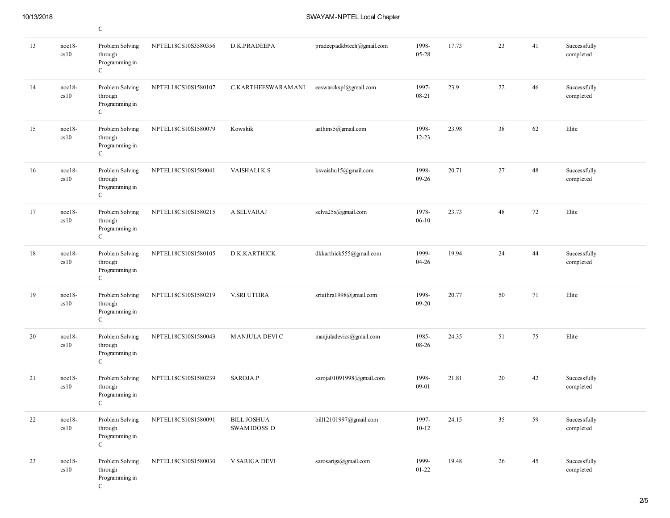# 10/13/2018 SWAYAM-NPTEL Local Chapter

|    |                  | $\mathsf{C}$                                                  |                     |                                    |                           |                    |       |    |    |                           |
|----|------------------|---------------------------------------------------------------|---------------------|------------------------------------|---------------------------|--------------------|-------|----|----|---------------------------|
| 13 | $noc18-$<br>cs10 | Problem Solving<br>through<br>Programming in<br>$\mathcal{C}$ | NPTEL18CS10S3580356 | D.K.PRADEEPA                       | pradeepadkbtech@gmail.com | 1998-<br>05-28     | 17.73 | 23 | 41 | Successfully<br>completed |
| 14 | $noc18-$<br>cs10 | Problem Solving<br>through<br>Programming in<br>$\mathcal{C}$ | NPTEL18CS10S1580107 | C.KARTHEESWARAMANI                 | eeswarckspl@gmail.com     | 1997-<br>08-21     | 23.9  | 22 | 46 | Successfully<br>completed |
| 15 | $noc18-$<br>cs10 | Problem Solving<br>through<br>Programming in<br>$\mathbf C$   | NPTEL18CS10S1580079 | Kowshik                            | aathins5@gmail.com        | 1998-<br>$12 - 23$ | 23.98 | 38 | 62 | Elite                     |
| 16 | $noc18-$<br>cs10 | Problem Solving<br>through<br>Programming in<br>$\mathcal{C}$ | NPTEL18CS10S1580041 | VAISHALI K S                       | ksvaishu15@gmail.com      | 1998-<br>$09-26$   | 20.71 | 27 | 48 | Successfully<br>completed |
| 17 | noc18-<br>cs10   | Problem Solving<br>through<br>Programming in<br>$\mathcal{C}$ | NPTEL18CS10S1580215 | A.SELVARAJ                         | selva25x@gmail.com        | 1978-<br>$06-10$   | 23.73 | 48 | 72 | Elite                     |
| 18 | $noc18-$<br>cs10 | Problem Solving<br>through<br>Programming in<br>$\mathcal{C}$ | NPTEL18CS10S1580105 | D.K.KARTHICK                       | dkkarthick555@gmail.com   | 1999-<br>$04 - 26$ | 19.94 | 24 | 44 | Successfully<br>completed |
| 19 | $noc18-$<br>cs10 | Problem Solving<br>through<br>Programming in<br>$\mathbf C$   | NPTEL18CS10S1580219 | V.SRI UTHRA                        | sriuthra1998@gmail.com    | 1998-<br>$09 - 20$ | 20.77 | 50 | 71 | Elite                     |
| 20 | $noc18-$<br>cs10 | Problem Solving<br>through<br>Programming in<br>$\mathcal{C}$ | NPTEL18CS10S1580043 | MANJULA DEVI C                     | manjuladevics@gmail.com   | 1985-<br>08-26     | 24.35 | 51 | 75 | Elite                     |
| 21 | $noc18-$<br>cs10 | Problem Solving<br>through<br>Programming in<br>$\mathcal{C}$ | NPTEL18CS10S1580239 | SAROJA.P                           | saroja01091998@gmail.com  | 1998-<br>09-01     | 21.81 | 20 | 42 | Successfully<br>completed |
| 22 | $noc18-$<br>cs10 | Problem Solving<br>through<br>Programming in<br>$\mathbf C$   | NPTEL18CS10S1580091 | <b>BILL JOSHUA</b><br>SWAMIDOSS .D | bill12101997@gmail.com    | 1997-<br>$10 - 12$ | 24.15 | 35 | 59 | Successfully<br>completed |
| 23 | $noc18-$<br>cs10 | Problem Solving<br>through<br>Programming in<br>$\mathbf C$   | NPTEL18CS10S1580030 | V SARIGA DEVI                      | sarosariga@gmail.com      | 1999-<br>$01 - 22$ | 19.48 | 26 | 45 | Successfully<br>completed |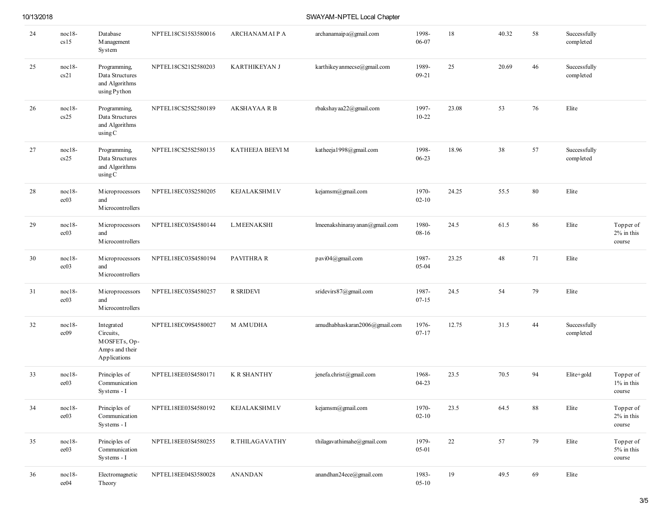| 10/13/2018 |  |
|------------|--|
|------------|--|

SWAYAM-NPTEL Local Chapter

| 24 | noc18-<br>cs15       | Database<br>M anagement<br>System                                         | NPTEL18CS15S3580016 | <b>ARCHANAMAIPA</b>  | archan a map a @gmail.com      | 1998-<br>06-07     | 18    | 40.32 | 58 | Successfully<br>completed |                                      |
|----|----------------------|---------------------------------------------------------------------------|---------------------|----------------------|--------------------------------|--------------------|-------|-------|----|---------------------------|--------------------------------------|
| 25 | $noc18-$<br>cs21     | Programming,<br>Data Structures<br>and Algorithms<br>using Python         | NPTEL18CS21S2580203 | <b>KARTHIKEYAN J</b> | karthikey anmecse@gmail.com    | 1989-<br>$09 - 21$ | 25    | 20.69 | 46 | Successfully<br>completed |                                      |
| 26 | noc18-<br>cs25       | Programming,<br>Data Structures<br>and Algorithms<br>using C              | NPTEL18CS25S2580189 | <b>AKSHAYAA R B</b>  | rbakshayaa22@gmail.com         | 1997-<br>$10 - 22$ | 23.08 | 53    | 76 | Elite                     |                                      |
| 27 | noc18-<br>cs25       | Programming,<br>Data Structures<br>and Algorithms<br>using C              | NPTEL18CS25S2580135 | KATHEEJA BEEVI M     | katheeja1998@gmail.com         | 1998-<br>$06 - 23$ | 18.96 | 38    | 57 | Successfully<br>completed |                                      |
| 28 | $noc18-$<br>ec03     | Microprocessors<br>and<br>M icrocontrollers                               | NPTEL18EC03S2580205 | <b>KEJALAKSHMI.V</b> | kejamsm@gmail.com              | 1970-<br>$02 - 10$ | 24.25 | 55.5  | 80 | Elite                     |                                      |
| 29 | noc18-<br>ec03       | Microprocessors<br>and<br>M icrocontrollers                               | NPTEL18EC03S4580144 | <b>L.MEENAKSHI</b>   | lmeenakshinaray anan@gmail.com | 1980-<br>08-16     | 24.5  | 61.5  | 86 | Elite                     | Topper of<br>$2\%$ in this<br>course |
| 30 | noc18-<br>ec03       | Microprocessors<br>and<br>M icrocontrollers                               | NPTEL18EC03S4580194 | PAVITHRA R           | pavi04@gmail.com               | 1987-<br>05-04     | 23.25 | 48    | 71 | Elite                     |                                      |
| 31 | noc18-<br>ec03       | Microprocessors<br>and<br>M icrocontrollers                               | NPTEL18EC03S4580257 | R SRIDEVI            | sridevirs87@gmail.com          | 1987-<br>$07 - 15$ | 24.5  | 54    | 79 | Elite                     |                                      |
| 32 | noc18-<br>ec09       | Integrated<br>Circuits,<br>MOSFETs, Op-<br>Amps and their<br>Applications | NPTEL18EC09S4580027 | <b>M AMUDHA</b>      | amudhabhaskaran2006@gmail.com  | 1976-<br>$07 - 17$ | 12.75 | 31.5  | 44 | Successfully<br>completed |                                      |
| 33 | noc18-<br>ee03       | Principles of<br>Communication<br>Systems - I                             | NPTEL18EE03S4580171 | <b>K R SHANTHY</b>   | jenefa.christ@gmail.com        | 1968-<br>$04 - 23$ | 23.5  | 70.5  | 94 | Elite+gold                | Topper of<br>1% in this<br>course    |
| 34 | noc18-<br>ee03       | Principles of<br>Communication<br>Systems - I                             | NPTEL18EE03S4580192 | KEJALAKSHMI.V        | kejamsm@gmail.com              | 1970-<br>$02 - 10$ | 23.5  | 64.5  | 88 | Elite                     | Topper of<br>$2\%$ in this<br>course |
| 35 | noc18-<br>ee03       | Principles of<br>Communication<br>Systems - I                             | NPTEL18EE03S4580255 | R.THILAGAVATHY       | thilagavathimahe@gmail.com     | 1979-<br>05-01     | 22    | 57    | 79 | Elite                     | Topper of<br>5% in this<br>course    |
| 36 | noc18-<br>$\rm ee04$ | Electromagnetic<br>Theory                                                 | NPTEL18EE04S3580028 | ANANDAN              | anandhan24ece@gmail.com        | 1983-<br>$05 - 10$ | 19    | 49.5  | 69 | Elite                     |                                      |